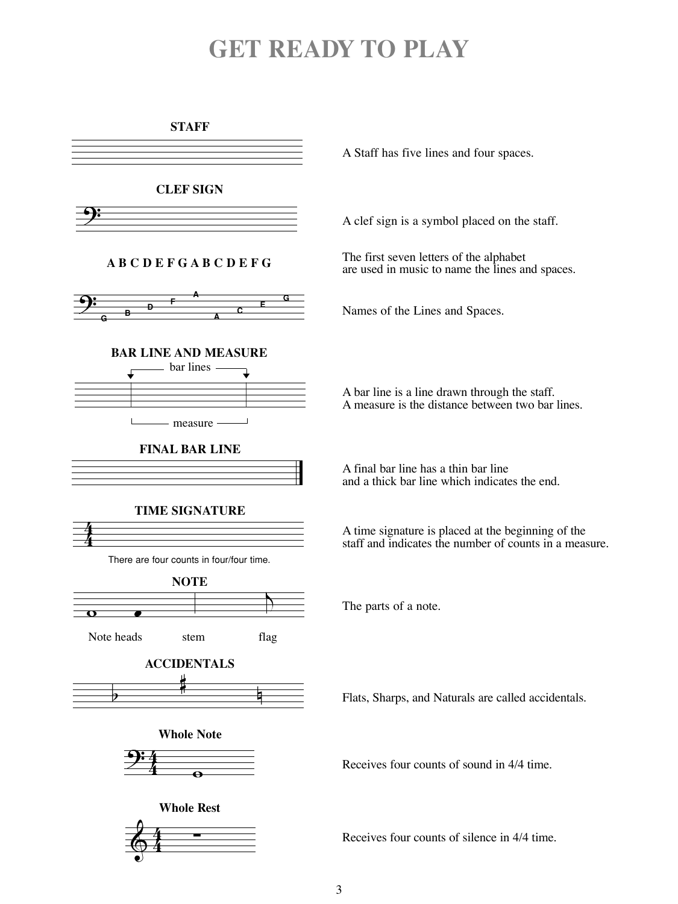## **GET READY TO PLAY**